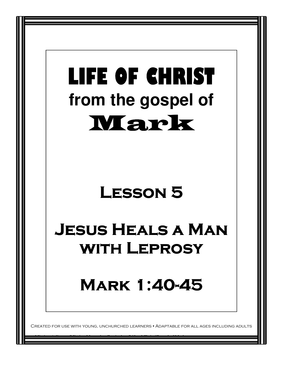## LIFE OF CHRIST LIFE OF CHRIST **from the gospel of**  Mark

### LESSON 5

## Jesus Heals a Man **WITH LEPROSY**

**MARK 1:40-45** 

IURCHED LEARNERS • ADAPTABLE FOR ALL AGES INCLUDING ADULTS

Mission Arlington/Mission Metroplex Curriculum/Life of Christ/Gospel of Mark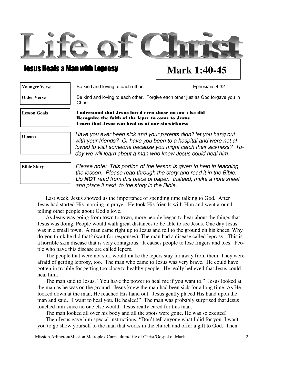

**Younger Verse** 

Be kind and loving to each other. The state of the set of the state of the state of the state of the state of the state of the state of the state of the state of the state of the state of the state of the state of the stat

**Older Verse** 

Be kind and loving to each other. Forgive each other just as God forgave you in Christ.

**Lesson Goals** Understand that Jesus loved even those no one else did Recognize the faith of the leper to come to Jesus Learn that Jesus can heal us of our sin-sickness

**Opener** 

Have you ever been sick and your parents didn't let you hang out with your friends? Or have you been to a hospital and were not allowed to visit someone because you might catch their sickness? Today we will learn about a man who knew Jesus could heal him.

**Bible Story** 

Please note: This portion of the lesson is given to help in teaching the lesson. Please read through the story and read it in the Bible. Do **NOT** read from this piece of paper. Instead, make a note sheet and place it next to the story in the Bible.

Last week, Jesus showed us the importance of spending time talking to God. After Jesus had started His morning in prayer, He took His friends with Him and went around telling other people about God's love.

 As Jesus was going from town to town, more people began to hear about the things that Jesus was doing. People would walk great distances to be able to see Jesus. One day Jesus was in a small town. A man came right up to Jesus and fell to the ground on his knees. Why do you think he did that? (wait for responses) The man had a disease called leprosy. This is a horrible skin disease that is very contagious. It causes people to lose fingers and toes. People who have this disease are called lepers.

 The people that were not sick would make the lepers stay far away from them. They were afraid of getting leprosy, too. The man who came to Jesus was very brave. He could have gotten in trouble for getting too close to healthy people. He really believed that Jesus could heal him.

 The man said to Jesus, "You have the power to heal me if you want to." Jesus looked at the man as he was on the ground. Jesus knew the man had been sick for a long time. As He looked down at the man, He reached His hand out. Jesus gently placed His hand upon the man and said, "I want to heal you. Be healed!" The man was probably surprised that Jesus touched him since no one else would. Jesus really cared for this man.

The man looked all over his body and all the spots were gone. He was so excited!

 Then Jesus gave him special instructions, "Don't tell anyone what I did for you. I want you to go show yourself to the man that works in the church and offer a gift to God. Then

Mission Arlington/Mission Metroplex Curriculum/Life of Christ/Gospel of Mark 2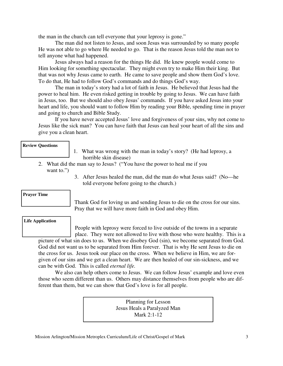the man in the church can tell everyone that your leprosy is gone."

 The man did not listen to Jesus, and soon Jesus was surrounded by so many people He was not able to go where He needed to go. That is the reason Jesus told the man not to tell anyone what had happened.

 Jesus always had a reason for the things He did. He knew people would come to Him looking for something spectacular. They might even try to make Him their king. But that was not why Jesus came to earth. He came to save people and show them God's love. To do that, He had to follow God's commands and do things God's way.

 The man in today's story had a lot of faith in Jesus. He believed that Jesus had the power to heal him. He even risked getting in trouble by going to Jesus. We can have faith in Jesus, too. But we should also obey Jesus' commands. If you have asked Jesus into your heart and life, you should want to follow Him by reading your Bible, spending time in prayer and going to church and Bible Study.

 If you have never accepted Jesus' love and forgiveness of your sins, why not come to Jesus like the sick man? You can have faith that Jesus can heal your heart of all the sins and give you a clean heart.

#### **Review Questions**

- 1. What was wrong with the man in today's story? (He had leprosy, a horrible skin disease)
- 2. What did the man say to Jesus? ("You have the power to heal me if you want to.")
	- 3. After Jesus healed the man, did the man do what Jesus said? (No—he told everyone before going to the church.)

#### **Prayer Time**

Thank God for loving us and sending Jesus to die on the cross for our sins. Pray that we will have more faith in God and obey Him.

#### **Life Application**

People with leprosy were forced to live outside of the towns in a separate place. They were not allowed to live with those who were healthy. This is a

picture of what sin does to us. When we disobey God (sin), we become separated from God. God did not want us to be separated from Him forever. That is why He sent Jesus to die on the cross for us. Jesus took our place on the cross. When we believe in Him, we are forgiven of our sins and we get a clean heart. We are then healed of our sin-sickness, and we can be with God. This is called *eternal life.* 

We also can help others come to Jesus. We can follow Jesus' example and love even those who seem different than us. Others may distance themselves from people who are different than them, but we can show that God's love is for all people.

> Planning for Lesson Jesus Heals a Paralyzed Man Mark 2:1-12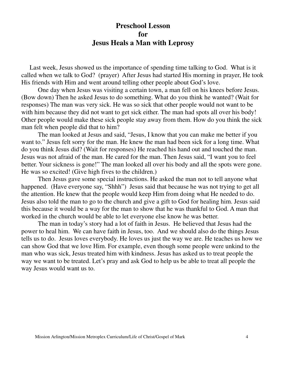#### **Preschool Lesson for Jesus Heals a Man with Leprosy**

 Last week, Jesus showed us the importance of spending time talking to God. What is it called when we talk to God? (prayer) After Jesus had started His morning in prayer, He took His friends with Him and went around telling other people about God's love.

One day when Jesus was visiting a certain town, a man fell on his knees before Jesus. (Bow down) Then he asked Jesus to do something. What do you think he wanted? (Wait for responses) The man was very sick. He was so sick that other people would not want to be with him because they did not want to get sick either. The man had spots all over his body! Other people would make these sick people stay away from them. How do you think the sick man felt when people did that to him?

 The man looked at Jesus and said, "Jesus, I know that you can make me better if you want to." Jesus felt sorry for the man. He knew the man had been sick for a long time. What do you think Jesus did? (Wait for responses) He reached his hand out and touched the man. Jesus was not afraid of the man. He cared for the man. Then Jesus said, "I want you to feel better. Your sickness is gone!" The man looked all over his body and all the spots were gone. He was so excited! (Give high fives to the children.)

 Then Jesus gave some special instructions. He asked the man not to tell anyone what happened. (Have everyone say, "Shhh") Jesus said that because he was not trying to get all the attention. He knew that the people would keep Him from doing what He needed to do. Jesus also told the man to go to the church and give a gift to God for healing him. Jesus said this because it would be a way for the man to show that he was thankful to God. A man that worked in the church would be able to let everyone else know he was better.

 The man in today's story had a lot of faith in Jesus. He believed that Jesus had the power to heal him. We can have faith in Jesus, too. And we should also do the things Jesus tells us to do. Jesus loves everybody. He loves us just the way we are. He teaches us how we can show God that we love Him. For example, even though some people were unkind to the man who was sick, Jesus treated him with kindness. Jesus has asked us to treat people the way we want to be treated. Let's pray and ask God to help us be able to treat all people the way Jesus would want us to.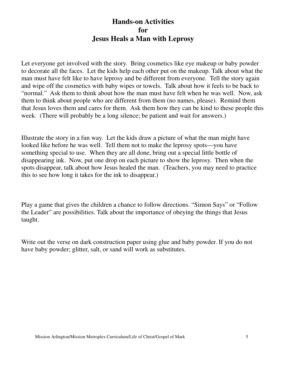#### **Hands-on Activities for Jesus Heals a Man with Leprosy**

Let everyone get involved with the story. Bring cosmetics like eye makeup or baby powder to decorate all the faces. Let the kids help each other put on the makeup. Talk about what the man must have felt like to have leprosy and be different from everyone. Tell the story again and wipe off the cosmetics with baby wipes or towels. Talk about how it feels to be back to "normal." Ask them to think about how the man must have felt when he was well. Now, ask them to think about people who are different from them (no names, please). Remind them that Jesus loves them and cares for them. Ask them how they can be kind to these people this week. (There will probably be a long silence; be patient and wait for answers.)

Illustrate the story in a fun way. Let the kids draw a picture of what the man might have looked like before he was well. Tell them not to make the leprosy spots—you have something special to use. When they are all done, bring out a special little bottle of disappearing ink. Now, put one drop on each picture to show the leprosy. Then when the spots disappear, talk about how Jesus healed the man. (Teachers, you may need to practice this to see how long it takes for the ink to disappear.)

Play a game that gives the children a chance to follow directions. "Simon Says" or "Follow the Leader" are possibilities. Talk about the importance of obeying the things that Jesus taught.

Write out the verse on dark construction paper using glue and baby powder. If you do not have baby powder; glitter, salt, or sand will work as substitutes.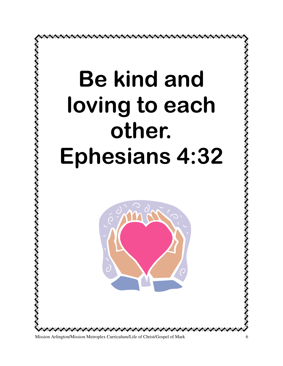

Mission Arlington/Mission Metroplex Curriculum/Life of Christ/Gospel of Mark 6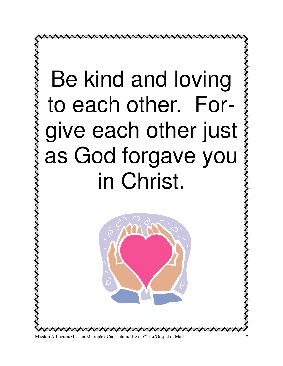# Be kind and loving to each other. For-Be kind and loving<br>to each other. For-<br>give each other just<br>as God forgave you<br>in Christ. as God forgave you in Christ.

こくくくくくくくくくくくく



Mission Arlington/Mission Metroplex Curriculum/Life of Christ/Gospel of Mark 7

ノイイン・ノイン ノイン・ノイン・ノイン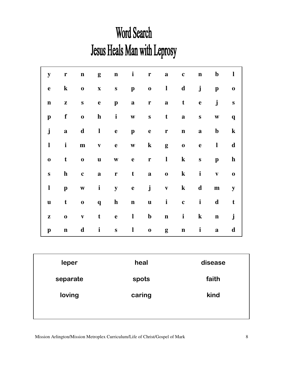## **Word Search** Jesus Heals Man with Leprosy

| ${\bf y}$    | ${\bf r}$    | $\mathbf n$  | g                         | $\mathbf n$                       | $\mathbf{i}$ | $\mathbf{r}$     | $\mathbf{a}$ | $\mathbf c$  | $\mathbf n$  | $\mathbf b$  | $\mathbf{l}$ |
|--------------|--------------|--------------|---------------------------|-----------------------------------|--------------|------------------|--------------|--------------|--------------|--------------|--------------|
| $\mathbf e$  | $\bf k$      | $\mathbf 0$  | $\boldsymbol{\mathrm{X}}$ | ${\bf S}$                         | $\mathbf{p}$ | $\boldsymbol{0}$ | $\mathbf{l}$ | $\mathbf d$  | $\mathbf{j}$ | $\mathbf{p}$ | $\mathbf 0$  |
| $\mathbf n$  | ${\bf z}$    | $\mathbf S$  | $\mathbf e$               | $\mathbf{p}$                      | $\mathbf{a}$ | $\mathbf r$      | $\mathbf{a}$ | $\mathbf t$  | $\mathbf e$  | $\mathbf{j}$ | ${\bf S}$    |
| $\mathbf{p}$ | $\mathbf f$  | $\mathbf 0$  | $\mathbf h$               | $\mathbf{i}$                      | $\mathbf{W}$ | $\mathbf S$      | $\mathbf t$  | $\mathbf{a}$ | $\mathbf S$  | $\mathbf{W}$ | $\mathbf{q}$ |
| $\mathbf{j}$ | $\mathbf{a}$ | $\mathbf d$  | $\mathbf{l}$              | $\mathbf{e}% _{t}\left( t\right)$ | $\mathbf{p}$ | $\mathbf e$      | $\mathbf{r}$ | $\mathbf n$  | $\mathbf{a}$ | $\mathbf b$  | $\bf k$      |
| $\mathbf{l}$ | $\mathbf{i}$ | ${\bf m}$    | $\mathbf{V}$              | $\mathbf e$                       | $\mathbf{W}$ | $\bf k$          | g            | $\mathbf 0$  | $\mathbf{e}$ | $\mathbf{l}$ | $\mathbf d$  |
| $\bf{0}$     | $\mathbf t$  | $\mathbf 0$  | $\mathbf u$               | $\boldsymbol{\mathrm{W}}$         | $\mathbf e$  | $\mathbf r$      | $\mathbf{l}$ | $\bf k$      | ${\bf S}$    | $\mathbf{p}$ | $\mathbf{h}$ |
| ${\bf S}$    | $\mathbf{h}$ | $\mathbf c$  | $\mathbf{a}$              | $\mathbf r$                       | $\mathbf t$  | $\mathbf{a}$     | $\mathbf 0$  | $\bf k$      | $\mathbf{i}$ | $\mathbf{V}$ | $\mathbf 0$  |
| $\mathbf{l}$ | $\mathbf{p}$ | $\mathbf{W}$ | $\mathbf{i}$              | ${\bf y}$                         | $\mathbf e$  | $\mathbf{j}$     | $\mathbf{V}$ | $\bf k$      | $\mathbf d$  | $\mathbf m$  | ${\bf y}$    |
| $\mathbf u$  | t            | $\mathbf 0$  | $\mathbf{q}$              | $\mathbf{h}$                      | $\mathbf n$  | $\mathbf{u}$     | $\mathbf{i}$ | $\mathbf c$  | $\mathbf{i}$ | d            | $\mathbf t$  |
| ${\bf z}$    | $\bf{0}$     | $\mathbf{V}$ | t                         | $\mathbf e$                       | $\mathbf{l}$ | $\mathbf b$      | $\mathbf n$  | $\mathbf{i}$ | $\bf k$      | $\mathbf n$  | $\mathbf{j}$ |
| $\mathbf{p}$ | $\mathbf n$  | $\mathbf d$  | $\mathbf{i}$              | ${\bf S}$                         | $\mathbf{l}$ | $\boldsymbol{0}$ | g            | $\mathbf n$  | $\mathbf{i}$ | $\mathbf a$  | d            |

| leper    | heal   | disease |  |  |
|----------|--------|---------|--|--|
| separate | spots  | faith   |  |  |
| loving   | caring | kind    |  |  |
|          |        |         |  |  |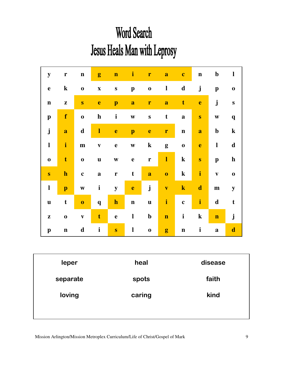## **Word Search** Jesus Heals Man with Leprosy

| ${\bf y}$                 | $\mathbf{r}$ | $\mathbf n$  | g                         | $\mathbf n$  | $\mathbf{i}$              | $\mathbf{r}$     | $\mathbf a$             | $\mathbf{c}$ | $\mathbf n$  | $\mathbf b$               | $\mathbf{l}$ |
|---------------------------|--------------|--------------|---------------------------|--------------|---------------------------|------------------|-------------------------|--------------|--------------|---------------------------|--------------|
| $\mathbf e$               | $\bf k$      | $\mathbf 0$  | $\boldsymbol{\mathrm{X}}$ | ${\bf S}$    | $\boldsymbol{\mathrm{p}}$ | $\mathbf 0$      | $\mathbf{l}$            | $\mathbf d$  | $\mathbf{j}$ | $\mathbf{p}$              | $\mathbf 0$  |
| $\mathbf n$               | $\mathbf{Z}$ | ${\bf S}$    | $\mathbf e$               | $\mathbf{p}$ | $\mathbf a$               | r                | $\mathbf a$             | $\mathbf t$  | $\mathbf{e}$ | $\mathbf{j}$              | ${\bf S}$    |
| $\mathbf{p}$              | f            | $\bf{0}$     | $\mathbf h$               | $\mathbf{i}$ | $\boldsymbol{\mathrm{W}}$ | $\bf S$          | $\mathbf t$             | $\mathbf{a}$ | $\mathbf{s}$ | $\boldsymbol{\mathrm{W}}$ | $\mathbf{q}$ |
| $\mathbf{j}$              | a            | $\mathbf d$  | $\mathbf{l}$              | $\mathbf e$  | $\mathbf{p}$              | $\mathbf e$      | r                       | $\mathbf n$  | a            | $\mathbf b$               | $\mathbf k$  |
| $\mathbf{l}$              | $\mathbf{i}$ | ${\bf m}$    | $\overline{\mathbf{V}}$   | $\mathbf e$  | $\boldsymbol{\mathrm{W}}$ | ${\bf k}$        | g                       | $\bf{0}$     | $\mathbf e$  | $\mathbf{l}$              | $\mathbf d$  |
| $\mathbf 0$               | $\mathbf t$  | $\mathbf 0$  | $\mathbf u$               | $\mathbf{W}$ | $\mathbf e$               | r                | $\mathbf{I}$            | $\bf k$      | $\mathbf{s}$ | $\mathbf{p}$              | $\mathbf h$  |
| $\mathbf{S}$              | $\mathbf h$  | $\mathbf c$  | $\mathbf{a}$              | $\mathbf{r}$ | $\mathbf t$               | $\mathbf a$      | $\bf{0}$                | $\bf k$      | $\mathbf{i}$ | $\mathbf{V}$              | $\mathbf 0$  |
| $\mathbf{l}$              | $\mathbf{p}$ | $\mathbf{W}$ | $\mathbf{i}$              | ${\bf y}$    | $\mathbf{e}$              | $\mathbf{j}$     | $\overline{\mathbf{V}}$ | $\mathbf k$  | $\mathbf d$  | ${\bf m}$                 | ${\bf y}$    |
| $\mathbf u$               | $\mathbf t$  | $\bf{0}$     | $\mathbf q$               | $\mathbf h$  | $\mathbf n$               | $\mathbf u$      | $\mathbf{i}$            | $\mathbf{c}$ | $\mathbf{i}$ | $\mathbf d$               | $\mathbf t$  |
| $\mathbf{Z}$              | $\mathbf 0$  | $\mathbf{V}$ | $\mathbf t$               | $\mathbf e$  | $\mathbf{l}$              | $\mathbf b$      | $\mathbf n$             | $\mathbf{i}$ | ${\bf k}$    | $\mathbf n$               | $\mathbf{j}$ |
| $\boldsymbol{\mathrm{p}}$ | $\mathbf n$  | $\mathbf d$  | $\mathbf{i}$              | $\bf{s}$     | $\mathbf{l}$              | $\boldsymbol{0}$ | g                       | $\mathbf n$  | $\mathbf{i}$ | $\mathbf{a}$              | $\mathbf d$  |
|                           |              |              |                           |              |                           |                  |                         |              |              |                           |              |

| leper    | heal   | disease |
|----------|--------|---------|
| separate | spots  | faith   |
| loving   | caring | kind    |
|          |        |         |